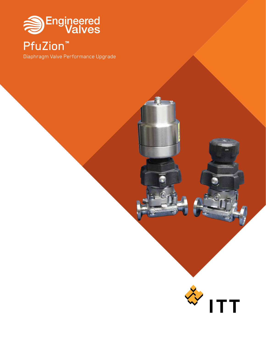

PfuZion™

Diaphragm Valve Performance Upgrade



Q.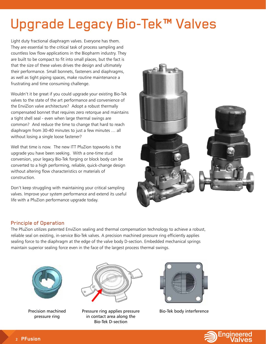# Upgrade Legacy Bio-Tek™ Valves

Light duty fractional diaphragm valves. Everyone has them. They are essential to the critical task of process sampling and countless low flow applications in the Biopharm industry. They are built to be compact to fit into small places, but the fact is that the size of these valves drives the design and ultimately their performance. Small bonnets, fasteners and diaphragms, as well as tight piping spaces, make routine maintenance a frustrating and time consuming challenge.

Wouldn't it be great if you could upgrade your existing Bio-Tek valves to the state of the art performance and convenience of the EnviZion valve architecture? Adopt a robust thermally compensated bonnet that requires zero retorque and maintains a tight shell seal - even when large thermal swings are common? And reduce the time to change that hard to reach diaphragm from 30-40 minutes to just a few minutes … all without losing a single loose fastener?

Well that time is now. The new ITT PfuZion topworks is the upgrade you have been seeking. With a one-time stud conversion, your legacy Bio-Tek forging or block body can be converted to a high performing, reliable, quick-change design without altering flow characteristics or materials of construction.

Don't keep struggling with maintaining your critical sampling valves. Improve your system performance and extend its useful life with a PfuZion performance upgrade today.



## Principle of Operation

The PfuZion utilizes patented EnviZion sealing and thermal compensation technology to achieve a robust, reliable seal on existing, in-service Bio-Tek valves. A precision machined pressure ring efficiently applies sealing force to the diaphragm at the edge of the valve body D-section. Embedded mechanical springs maintain superior sealing force even in the face of the largest process thermal swings.



Precision machined pressure ring



Pressure ring applies pressure in contact area along the Bio-Tek D-section



Bio-Tek body interference

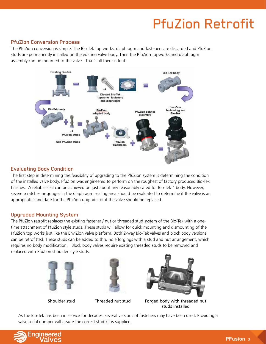# PfuZion Retrofit

#### PfuZion Conversion Process

The PfuZion conversion is simple. The Bio-Tek top works, diaphragm and fasteners are discarded and PfuZion studs are permanently installed on the existing valve body. Then the PfuZion topworks and diaphragm assembly can be mounted to the valve. That's all there is to it!



## Evaluating Body Condition

The first step in determining the feasibility of upgrading to the PfuZion system is determining the condition of the installed valve body. PfuZIon was engineered to perform on the roughest of factory produced Bio-Tek finishes. A reliable seal can be achieved on just about any reasonably cared for Bio-Tek™ body. However, severe scratches or gouges in the diaphragm sealing area should be evaluated to determine if the valve is an appropriate candidate for the PfuZion upgrade, or if the valve should be replaced.

#### Upgraded Mounting System

The PfuZion retrofit replaces the existing fastener / nut or threaded stud system of the Bio-Tek with a onetime attachment of PfuZion style studs. These studs will allow for quick mounting and dismounting of the PfuZion top works just like the EnviZion valve platform. Both 2-way Bio-Tek valves and block body versions can be retrofitted. These studs can be added to thru hole forgings with a stud and nut arrangement, which requires no body modification. Block body valves require existing threaded studs to be removed and replaced with PfuZion shoulder style studs.







Shoulder stud Threaded nut stud Forged body with threaded nut studs installed

As the Bio-Tek has been in service for decades, several versions of fasteners may have been used. Providing a valve serial number will assure the correct stud kit is supplied.

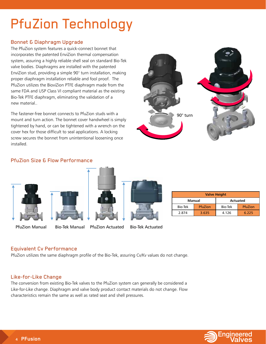# PfuZion Technology

## Bonnet & Diaphragm Upgrade

The PfuZion system features a quick-connect bonnet that incorporates the patented EnviZion thermal compensation system, assuring a highly reliable shell seal on standard Bio-Tek valve bodies. Diaphragms are installed with the patented EnviZion stud, providing a simple 90° turn installation, making proper diaphragm installation reliable and fool proof. The PfuZion utilizes the BioviZion PTFE diaphragm made from the same FDA and USP Class VI compliant material as the existing Bio-Tek PTFE diaphragm, eliminating the validation of a new material..

The fastener-free bonnet connects to PfuZion studs with a mount and turn action. The bonnet cover handwheel is simply tightened by hand, or can be tightened with a wrench on the cover hex for those difficult to seal applications. A locking screw secures the bonnet from unintentional loosening once installed.



#### PfuZion Size & Flow Performance









| <b>Valve Height</b> |         |                 |         |
|---------------------|---------|-----------------|---------|
| Manual              |         | <b>Actuated</b> |         |
| Bio-Tek             | PfuZion | <b>Bio-Tek</b>  | PfuZion |
| 2874                | 3.635   | 4.126           | 6 2 2 5 |

PfuZion Manual Bio-Tek Manual PfuZion Actuated Bio-Tek Actuated

## Equivalent Cv Performance

PfuZion utilizes the same diaphragm profile of the Bio-Tek, assuring Cv/Kv values do not change.

#### Like-for-Like Change

The conversion from existing Bio-Tek valves to the PfuZion system can generally be considered a Like-for-Like change. Diaphragm and valve body product contact materials do not change. Flow characteristics remain the same as well as rated seat and shell pressures.

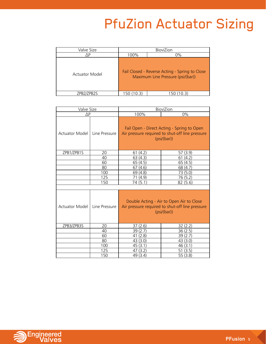# PfuZion Actuator Sizing

| Valve Size     |      | BioviZion                                                                           |
|----------------|------|-------------------------------------------------------------------------------------|
| ١P             | 100% | $0\%$                                                                               |
| Actuator Model |      | Fail Closed - Reverse Acting - Spring to Close<br>Maximum Line Pressure (psi/(bar)) |
| 'PB2S          | 150  |                                                                                     |

| Valve Size     |               | BioviZion                                                                                                  |                                                                                                              |  |
|----------------|---------------|------------------------------------------------------------------------------------------------------------|--------------------------------------------------------------------------------------------------------------|--|
| $\Delta P$     |               | 100%                                                                                                       | 0%                                                                                                           |  |
| Actuator Model | Line Pressure |                                                                                                            | Fail Open - Direct Acting - Spring to Open<br>Air pressure required to shut-off line pressure<br>(psi/(bar)) |  |
| ZPB1/ZPB1S     | 20            | 61(4.2)                                                                                                    | 57 (3.9)                                                                                                     |  |
|                | 40            | 63(4.3)                                                                                                    | (4.2)<br>61                                                                                                  |  |
|                | 60            | 65 (4.5)                                                                                                   | 65 (4.5)                                                                                                     |  |
|                | 80            | (4.6)<br>67                                                                                                | 68 (4.7)                                                                                                     |  |
|                | 100           | 69 (4.8)                                                                                                   | 73 (5.0)                                                                                                     |  |
|                | 125           | 71 (4.9)                                                                                                   | 76 (5.2)                                                                                                     |  |
|                | 150           | 74 (5.1)                                                                                                   | 82 (5.6)                                                                                                     |  |
|                |               |                                                                                                            |                                                                                                              |  |
| Actuator Model | Line Pressure | Double Acting - Air to Open Air to Close<br>Air pressure required to shut-off line pressure<br>(psi/(bar)) |                                                                                                              |  |
| ZPB3/ZPB3S     | 20            | 37(2.6)                                                                                                    | 32(2.2)                                                                                                      |  |
|                | 40            | 39(2.7)                                                                                                    | 36(2.5)                                                                                                      |  |
|                | 60            | (2.8)<br>41                                                                                                | 39 (2.7                                                                                                      |  |
|                | 80            | 43 (3.0)                                                                                                   | 43 (3.0)                                                                                                     |  |
|                | 100           | 45(3.1)                                                                                                    | 46 (3.1)                                                                                                     |  |
|                | 125           | (3.2)<br>47                                                                                                | (3.5)<br>51                                                                                                  |  |
|                | 150           | 49 (3.4)                                                                                                   | 55 (3.8)                                                                                                     |  |

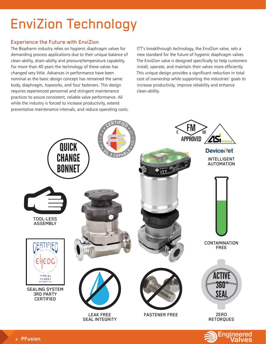# EnviZion Technology

## Experience the Future with EnviZion

The Biopharm industry relies on hygienic diaphragm valves for demanding process applications due to their unique balance of clean-ability, drain-ability and pressure/temperature capability. For more than 40 years the technology of these valves has changed very little. Advances in performance have been nominal as the basic design concept has remained the same: body, diaphragm, topworks, and four fasteners. This design requires experienced personnel and stringent maintenance practices to assure consistent, reliable valve performance. All while the industry is forced to increase productivity, extend preventative maintenance intervals, and reduce operating costs. ITT's breakthrough technology, the EnviZion valve, sets a new standard for the future of hygienic diaphragm valves. The EnviZion valve is designed specifically to help customers install, operate, and maintain their valves more efficiently. This unique design provides a significant reduction in total cost of ownership while supporting the industries' goals to increase productivity, improve reliability and enhance clean-ability.



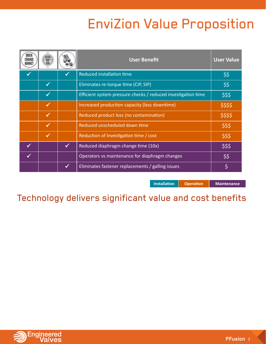# EnviZion Value Proposition

|              |              |              | <b>User Benefit</b>                                           | <b>User Value</b> |
|--------------|--------------|--------------|---------------------------------------------------------------|-------------------|
|              |              |              | <b>Reduced installation time</b>                              | \$\$              |
|              | $\checkmark$ |              | Eliminates re-torque time (CIP, SIP)                          | \$\$              |
|              | $\checkmark$ |              | Efficient system pressure checks / reduced investigation time | \$\$\$            |
|              | $\checkmark$ |              | Increased production capacity (less downtime)                 | \$\$\$\$          |
|              | $\checkmark$ |              | Reduced product loss (no contamination)                       | \$\$\$\$          |
|              | $\checkmark$ |              | Reduced unscheduled down time                                 | \$\$\$            |
|              | $\checkmark$ |              | Reduction of Investigation time / cost                        | \$\$\$            |
| $\checkmark$ |              | $\checkmark$ | Reduced diaphragm change time (10x)                           | \$\$\$            |
| $\checkmark$ |              |              | Operators vs maintenance for diaphragm changes                | \$\$              |
|              |              | $\checkmark$ | Eliminates fastener replacements / galling issues             | \$                |

**Installation Operation Maintenance** 

Technology delivers significant value and cost benefits